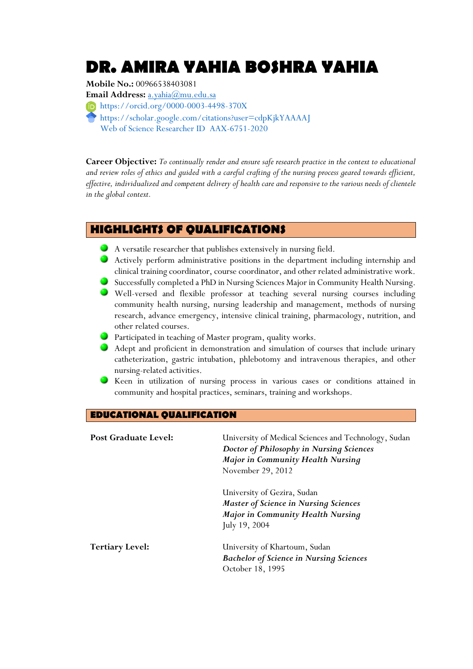# **DR. AMIRA YAHIA BOSHRA YAHIA**

# **Mobile No.:** 00966538403081

**Email Address:** [a.yahia@mu.edu.sa](mailto:a.yahia@mu.edu.sa) <https://orcid.org/0000-0003-4498-370X>

<https://scholar.google.com/citations?user=cdpKjkYAAAAJ> Web of Science Researcher ID [AAX-6751-2020](https://publons.com/researcher/AAX-6751-2020/)

**Career Objective:** *To continually render and ensure safe research practice in the context to educational and review roles of ethics and guided with a careful crafting of the nursing process geared towards efficient, effective, individualized and competent delivery of health care and responsive to the various needs of clientele in the global context.*

# **HIGHLIGHTS OF QUALIFICATIONS**

- A versatile researcher that publishes extensively in nursing field.
- Actively perform administrative positions in the department including internship and clinical training coordinator, course coordinator, and other related administrative work.
- Successfully completed a PhD in Nursing Sciences Major in Community Health Nursing.
- Well-versed and flexible professor at teaching several nursing courses including community health nursing, nursing leadership and management, methods of nursing research, advance emergency, intensive clinical training, pharmacology, nutrition, and other related courses.
- **Participated in teaching of Master program, quality works.**
- Adept and proficient in demonstration and simulation of courses that include urinary catheterization, gastric intubation, phlebotomy and intravenous therapies, and other nursing-related activities.
- Keen in utilization of nursing process in various cases or conditions attained in community and hospital practices, seminars, training and workshops.

## **EDUCATIONAL QUALIFICATION**

| Post Graduate Level:   | University of Medical Sciences and Technology, Sudan<br>Doctor of Philosophy in Nursing Sciences<br><b>Major in Community Health Nursing</b><br>November 29, 2012 |
|------------------------|-------------------------------------------------------------------------------------------------------------------------------------------------------------------|
|                        | University of Gezira, Sudan<br><b>Master of Science in Nursing Sciences</b><br><b>Major in Community Health Nursing</b><br>July 19, 2004                          |
| <b>Tertiary Level:</b> | University of Khartoum, Sudan<br><b>Bachelor of Science in Nursing Sciences</b><br>October 18, 1995                                                               |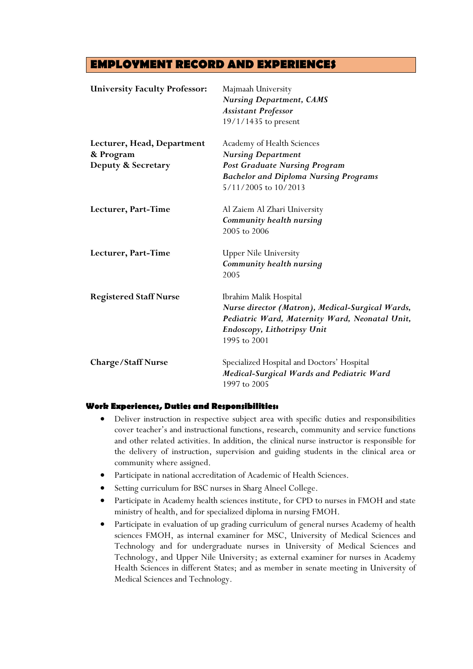# **EMPLOYMENT RECORD AND EXPERIENCES**

| <b>University Faculty Professor:</b>    | Majmaah University<br><b>Nursing Department, CAMS</b><br><b>Assistant Professor</b><br>19/1/1435 to present                                                                 |
|-----------------------------------------|-----------------------------------------------------------------------------------------------------------------------------------------------------------------------------|
| Lecturer, Head, Department<br>& Program | Academy of Health Sciences<br><b>Nursing Department</b>                                                                                                                     |
| Deputy & Secretary                      | <b>Post Graduate Nursing Program</b><br><b>Bachelor and Diploma Nursing Programs</b><br>5/11/2005 to 10/2013                                                                |
| Lecturer, Part-Time                     | Al Zaiem Al Zhari University<br>Community health nursing<br>2005 to 2006                                                                                                    |
| Lecturer, Part-Time                     | <b>Upper Nile University</b><br>Community health nursing<br>2005                                                                                                            |
| <b>Registered Staff Nurse</b>           | Ibrahim Malik Hospital<br>Nurse director (Matron), Medical-Surgical Wards,<br>Pediatric Ward, Maternity Ward, Neonatal Unit,<br>Endoscopy, Lithotripsy Unit<br>1995 to 2001 |
| Charge/Staff Nurse                      | Specialized Hospital and Doctors' Hospital<br>Medical-Surgical Wards and Pediatric Ward<br>1997 to 2005                                                                     |

#### **Work Experiences, Duties and Responsibilities:**

- Deliver instruction in respective subject area with specific duties and responsibilities cover teacher's and instructional functions, research, community and service functions and other related activities. In addition, the clinical nurse instructor is responsible for the delivery of instruction, supervision and guiding students in the clinical area or community where assigned.
- Participate in national accreditation of Academic of Health Sciences.
- Setting curriculum for BSC nurses in Sharg Alneel College.
- Participate in Academy health sciences institute, for CPD to nurses in FMOH and state ministry of health, and for specialized diploma in nursing FMOH.
- Participate in evaluation of up grading curriculum of general nurses Academy of health sciences FMOH, as internal examiner for MSC, University of Medical Sciences and Technology and for undergraduate nurses in University of Medical Sciences and Technology, and Upper Nile University; as external examiner for nurses in Academy Health Sciences in different States; and as member in senate meeting in University of Medical Sciences and Technology.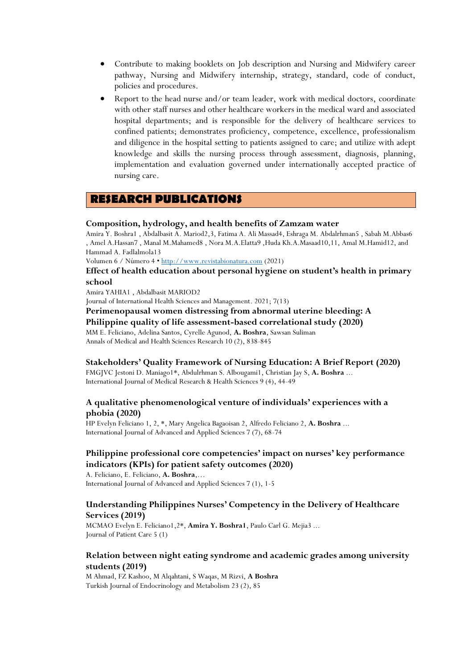- Contribute to making booklets on Job description and Nursing and Midwifery career pathway, Nursing and Midwifery internship, strategy, standard, code of conduct, policies and procedures.
- Report to the head nurse and/or team leader, work with medical doctors, coordinate with other staff nurses and other healthcare workers in the medical ward and associated hospital departments; and is responsible for the delivery of healthcare services to confined patients; demonstrates proficiency, competence, excellence, professionalism and diligence in the hospital setting to patients assigned to care; and utilize with adept knowledge and skills the nursing process through assessment, diagnosis, planning, implementation and evaluation governed under internationally accepted practice of nursing care.

#### **RESEARCH PUBLICATIONS**

#### **Composition, hydrology, and health benefits of Zamzam water**

Amira Y. Boshra1 , Abdalbasit A. Mariod2,3, Fatima A. Ali Massad4, Eshraga M. Abdalrhman5 , Sabah M.Abbas6 , Amel A.Hassan7 , Manal M.Mahamed8 , Nora M.A.Elatta9 ,Huda Kh.A.Masaad10,11, Amal M.Hamid12, and Hammad A. Fadlalmola13

Volumen 6 / Número 4 · [http://www.revistabionatura.com](http://www.revistabionatura.com/) (2021)

#### **Effect of health education about personal hygiene on student's health in primary school**

Amira YAHIA1 , Abdalbasit MARIOD2

Journal of International Health Sciences and Management. 2021; 7(13)

**Perimenopausal women distressing from abnormal uterine bleeding: A** 

**Philippine quality of life assessment-based correlational study (2020)**

MM E. Feliciano, Adelina Santos, Cyrelle Agunod, **A. Boshra**, Sawsan Suliman Annals of Medical and Health Sciences Research 10 (2), 838-845

# **Stakeholders' Quality Framework of Nursing Education: A Brief Report (2020)**

FMGJVC Jestoni D. Maniago1\*, Abdulrhman S. Albougami1, Christian Jay S, **A. Boshra** ... International Journal of Medical Research & Health Sciences 9 (4), 44-49

#### **A qualitative phenomenological venture of individuals' experiences with a phobia (2020)**

HP Evelyn Feliciano 1, 2, \*, Mary Angelica Bagaoisan 2, Alfredo Feliciano 2, **A. Boshra** ... International Journal of Advanced and Applied Sciences 7 (7), 68-74

#### **Philippine professional core competencies' impact on nurses' key performance indicators (KPIs) for patient safety outcomes (2020)**

A. Feliciano, E. Feliciano, **A. Boshra**,… International Journal of Advanced and Applied Sciences 7 (1), 1-5

#### **Understanding Philippines Nurses' Competency in the Delivery of Healthcare Services (2019)**

MCMAO Evelyn E. Feliciano1,2\*, **Amira Y. Boshra1**, Paulo Carl G. Mejia3 ... Journal of Patient Care 5 (1)

#### **Relation between night eating syndrome and academic grades among university students (2019)**

M Ahmad, FZ Kashoo, M Alqahtani, S Waqas, M Rizvi, **A Boshra** Turkish Journal of Endocrinology and Metabolism 23 (2), 85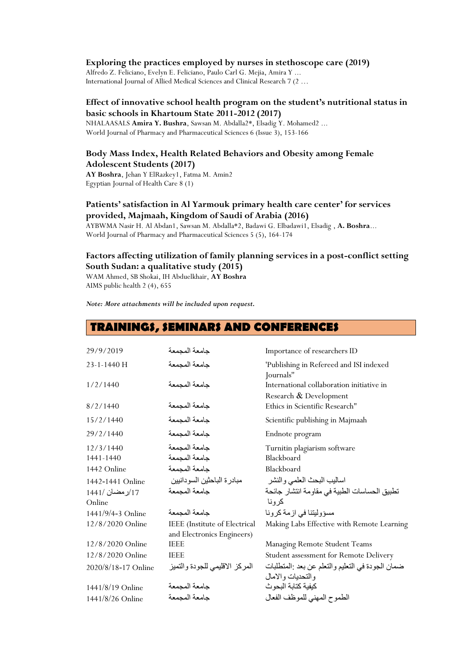#### **Exploring the practices employed by nurses in stethoscope care (2019)**

Alfredo Z. Feliciano, Evelyn E. Feliciano, Paulo Carl G. Mejia, Amira Y ... International Journal of Allied Medical Sciences and Clinical Research 7 (2 …

#### **Effect of innovative school health program on the student's nutritional status in basic schools in Khartoum State 2011-2012 (2017)**

NHALAASALS **Amira Y. Bushra**, Sawsan M. Abdalla2\*, Elsadig Y. Mohamed2 ... World Journal of Pharmacy and Pharmaceutical Sciences 6 (Issue 3), 153-166

#### **Body Mass Index, Health Related Behaviors and Obesity among Female Adolescent Students (2017)**

**AY Boshra**, Jehan Y ElRazkey1, Fatma M. Amin2 Egyptian Journal of Health Care 8 (1)

#### **Patients' satisfaction in Al Yarmouk primary health care center' for services provided, Majmaah, Kingdom of Saudi of Arabia (2016)**

AYBWMA Nasir H. Al Abdan1, Sawsan M. Abdalla\*2, Badawi G. Elbadawi1, Elsadig , **A. Boshra**... World Journal of Pharmacy and Pharmaceutical Sciences 5 (5), 164-174

#### **Factors affecting utilization of family planning services in a post-conflict setting South Sudan: a qualitative study (2015)**

WAM Ahmed, SB Shokai, IH Abduelkhair, **AY Boshra** AIMS public health 2 (4), 655

*Note: More attachments will be included upon request.*

## **TRAININGS, SEMINARS AND CONFERENCES**

| 29/9/2019           | جامعة المجمعة                                               | Importance of researchers ID                                          |
|---------------------|-------------------------------------------------------------|-----------------------------------------------------------------------|
| 23-1-1440 H         | جامعة المجمعة                                               | 'Publishing in Refereed and ISI indexed<br>Journals"                  |
| 1/2/1440            | جامعة المجمعة                                               | International collaboration initiative in<br>Research & Development   |
| 8/2/1440            | جامعة المجمعة                                               | Ethics in Scientific Research"                                        |
| 15/2/1440           | جامعة المجمعة                                               | Scientific publishing in Majmaah                                      |
| 29/2/1440           | جامعة المجمعة                                               | Endnote program                                                       |
| 12/3/1440           | جامعة المجمعة                                               | Turnitin plagiarism software                                          |
| 1441-1440           | جامعة المجمعة                                               | Blackboard                                                            |
| 1442 Online         | جامعة المجمعة                                               | Blackboard                                                            |
| 1442-1441 Online    | مبادر ة الباحثين السو دانبين                                | اساليب البحث العلمي والنشر                                            |
| 17/رمضان /1441      | جامعة المجمعة                                               | تطبيق الحساسات الطبية في مقاومة انتشار جائحة                          |
| Online              |                                                             | كرونا                                                                 |
| 1441/9/4-3 Online   | جامعة المجمعة                                               | مسؤوليتنا في ازمة كرونا                                               |
| 12/8/2020 Online    | IEEE (Institute of Electrical<br>and Electronics Engineers) | Making Labs Effective with Remote Learning                            |
| 12/8/2020 Online    | <b>IEEE</b>                                                 | Managing Remote Student Teams                                         |
| 12/8/2020 Online    | <b>IEEE</b>                                                 | Student assessment for Remote Delivery                                |
| 2020/8/18-17 Online | المركز الاقليمي للجودة والتميز                              | ضمان الجودة في التعليم والتعلم عن بعد :المتطلبات<br>والتحديات والامال |
| 1441/8/19 Online    | جامعة المجمعة                                               | كيفية كتابة البحوث                                                    |
| 1441/8/26 Online    | جامعة المجمعة                                               | الطموح المهنى للموظف الفعال                                           |